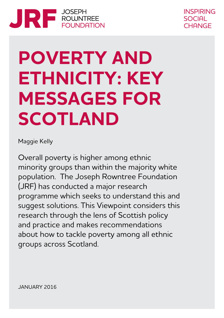

**INSPIRING** SOCIAL CHANGE

# **POVERTY AND ETHNICITY: KEY MESSAGES FOR SCOTLAND**

Maggie Kelly

Overall poverty is higher among ethnic minority groups than within the majority white population. The Joseph Rowntree Foundation (JRF) has conducted a major research programme which seeks to understand this and suggest solutions. This Viewpoint considers this research through the lens of Scottish policy and practice and makes recommendations about how to tackle poverty among all ethnic groups across Scotland.

JANUARY 2016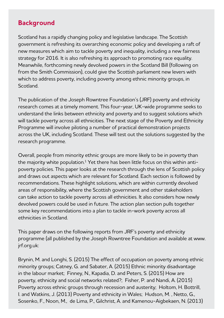# **Background**

Scotland has a rapidly changing policy and legislative landscape. The Scottish government is refreshing its overarching economic policy and developing a raft of new measures which aim to tackle poverty and inequality, including a new fairness strategy for 2016. It is also refreshing its approach to promoting race equality. Meanwhile, forthcoming newly devolved powers in the Scotland Bill (following on from the Smith Commission), could give the Scottish parliament new levers with which to address poverty, including poverty among ethnic minority groups, in **Scotland** 

The publication of the Joseph Rowntree Foundation's (JRF) poverty and ethnicity research comes at a timely moment. This four-year, UK-wide programme seeks to understand the links between ethnicity and poverty and to suggest solutions which will tackle poverty across all ethnicities. The next stage of the Poverty and Ethnicity Programme will involve piloting a number of practical demonstration projects across the UK, including Scotland. These will test out the solutions suggested by the research programme.

Overall, people from minority ethnic groups are more likely to be in poverty than the majority white population.<sup>1</sup> Yet there has been little focus on this within antipoverty policies. This paper looks at the research through the lens of Scottish policy and draws out aspects which are relevant for Scotland. Each section is followed by recommendations. These highlight solutions, which are within currently devolved areas of responsibility, where the Scottish government and other stakeholders can take action to tackle poverty across all ethnicities. It also considers how newly devolved powers could be used in future. The action plan section pulls together some key recommendations into a plan to tackle in-work poverty across all ethnicities in Scotland.

This paper draws on the following reports from JRF's poverty and ethnicity programme (all published by the Joseph Rowntree Foundation and available at www. jrf.org.uk:

Brynin, M. and Longhi, S. (2015) The effect of occupation on poverty among ethnic minority groups; Catney, G. and Sabater, A. (2015) Ethnic minority disadvantage in the labour market; Finney, N., Kapadia, D. and Peters, S. (2015) How are poverty, ethnicity and social networks related?; Fisher, P. and Nandi, A. (2015) Poverty across ethnic groups through recession and austerity; Holtom, H. Bottrill, I. and Watkins, J. (2013) Poverty and ethnicity in Wales; Hudson, M. , Netto, G., Sosenko, F., Noon, M., de Lima, P., Gilchrist, A. and Kamenou-Aigbekaen, N. (2013)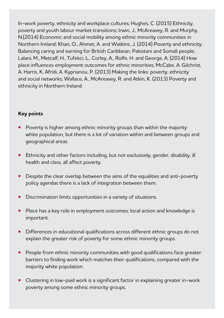In-work poverty, ethnicity and workplace cultures; Hughes, C. (2015) Ethnicity, poverty and youth labour market transitions; Irwin, J., McAreavey, R. and Murphy, N.(2014) Economic and social mobility among ethnic minority communities in Northern Ireland; Khan, O., Ahmet, A. and Watkins, J. (2014) Poverty and ethnicity: Balancing caring and earning for British Caribbean, Pakistani and Somali people; Lalani, M., Metcalf, H., Tufekci, L., Corley, A., Rolfe, H. and George, A. (2014) How place influences employment outcomes for ethnic minorities; McCabe, A. Gilchrist, A. Harris, K, Afridi, A. Kyprianou, P. (2013) Making the links: poverty, ethnicity and social networks; Wallace, A., McAreavey, R. and Atkin, K. (2013) Poverty and ethnicity in Northern Ireland.

#### **Key points**

- **•** Poverty is higher among ethnic minority groups than within the majority white population, but there is a lot of variation within and between groups and geographical areas.
- **•** Ethnicity and other factors including, but not exclusively, gender, disability, ill health and class, all affect poverty.
- **•** Despite the clear overlap between the aims of the equalities and anti-poverty policy agendas there is a lack of integration between them.
- **•** Discrimination limits opportunities in a variety of situations.
- **•** Place has a key role in employment outcomes; local action and knowledge is important.
- **•** Differences in educational qualifications across different ethnic groups do not explain the greater risk of poverty for some ethnic minority groups.
- **•** People from ethnic minority communities with good qualifications face greater barriers to finding work which matches their qualifications, compared with the majority white population.
- **•** Clustering in low-paid work is a significant factor in explaining greater in-work poverty among some ethnic minority groups.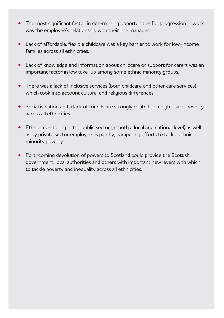- **•** The most significant factor in determining opportunities for progression in work was the employee's relationship with their line manager.
- **•** Lack of affordable, flexible childcare was a key barrier to work for low-income families across all ethnicities.
- **•** Lack of knowledge and information about childcare or support for carers was an important factor in low take-up among some ethnic minority groups.
- **•** There was a lack of inclusive services (both childcare and other care services) which took into account cultural and religious differences.
- **•** Social isolation and a lack of friends are strongly related to a high risk of poverty across all ethnicities.
- **•** Ethnic monitoring in the public sector (at both a local and national level) as well as by private sector employers is patchy, hampering efforts to tackle ethnic minority poverty.
- **•** Forthcoming devolution of powers to Scotland could provide the Scottish government, local authorities and others with important new levers with which to tackle poverty and inequality across all ethnicities.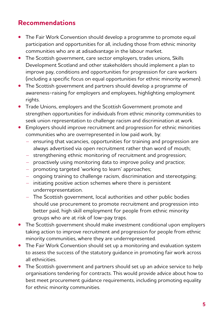# **Recommendations**

- **•** The Fair Work Convention should develop a programme to promote equal participation and opportunities for all, including those from ethnic minority communities who are at adisadvantage in the labour market.
- **•** The Scottish government, care sector employers, trades unions, Skills Development Scotland and other stakeholders should implement a plan to improve pay, conditions and opportunities for progression for care workers (including a specific focus on equal opportunities for ethnic minority women).
- **•** The Scottish government and partners should develop a programme of awareness-raising for employers and employees, highlighting employment rights.
- **•** Trade Unions, employers and the Scottish Government promote and strengthen opportunities for individuals from ethnic minority communities to seek union representation to challenge racism and discrimination at work.
- **•** Employers should improve recruitment and progression for ethnic minorities communities who are overrepresented in low paid work, by:
	- ensuring that vacancies, opportunities for training and progression are always advertised via open recruitment rather than word of mouth;
	- strengthening ethnic monitoring of recruitment and progression;
	- proactively using monitoring data to improve policy and practice;
	- promoting targeted 'working to learn' approaches;
	- ongoing training to challenge racism, discrimination and stereotyping;
	- initiating positive action schemes where there is persistent underrepresentation.
	- The Scottish government, local authorities and other public bodies should use procurement to promote recruitment and progression into better paid, high skill employment for people from ethnic minority groups who are at risk of low-pay traps.
- **•** The Scottish government should make investment conditional upon employers taking action to improve recruitment and progression for people from ethnic minority communities, where they are underrepresented.
- **•** The Fair Work Convention should set up a monitoring and evaluation system to assess the success of the statutory guidance in promoting fair work across all ethnicities.
- **•** The Scottish government and partners should set up an advice service to help organisations tendering for contracts. This would provide advice about how to best meet procurement guidance requirements, including promoting equality for ethnic minority communities.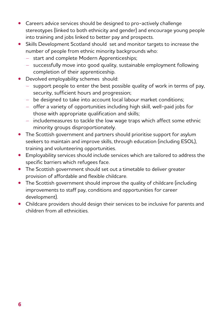- **•** Careers advice services should be designed to pro-actively challenge stereotypes (linked to both ethnicity and gender) and encourage young people into training and jobs linked to better pay and prospects.
- **•** Skills Development Scotland should set and monitor targets to increase the number of people from ethnic minority backgrounds who:
	- start and complete Modern Apprenticeships;
	- successfully move into good quality, sustainable employment following completion of their apprenticeship.
- **•** Devolved employability schemes should:
	- support people to enter the best possible quality of work in terms of pay, security, sufficient hours and progression;
	- be designed to take into account local labour market conditions;
	- offer a variety of opportunities including high skill, well-paid jobs for those with appropriate qualification and skills;
	- includemeasures to tackle the low wage traps which affect some ethnic minority groups disproportionately.
- **•** The Scottish government and partners should prioritise support for asylum seekers to maintain and improve skills, through education (including ESOL), training and volunteering opportunities.
- **•** Employability services should include services which are tailored to address the specific barriers which refugees face.
- **•** The Scottish government should set out a timetable to deliver greater provision of affordable and flexible childcare.
- **•** The Scottish government should improve the quality of childcare (including improvements to staff pay, conditions and opportunities for career development).
- **•** Childcare providers should design their services to be inclusive for parents and children from all ethnicities.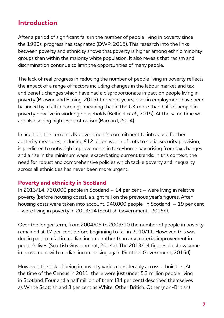# **Introduction**

After a period of significant falls in the number of people living in poverty since the 1990s, progress has stagnated (DWP, 2015). This research into the links between poverty and ethnicity shows that poverty is higher among ethnic minority groups than within the majority white population. It also reveals that racism and discrimination continue to limit the opportunities of many people.

The lack of real progress in reducing the number of people living in poverty reflects the impact of a range of factors including changes in the labour market and tax and benefit changes which have had a disproportionate impact on people living in poverty (Browne and Elming, 2015). In recent years, rises in employment have been balanced by a fall in earnings, meaning that in the UK more than half of people in poverty now live in working households (Belfield *et al.,* 2015). At the same time we are also seeing high levels of racism (Barnard, 2014).

In addition, the current UK government's commitment to introduce further austerity measures, including £12 billion worth of cuts to social security provision, is predicted to outweigh improvements in take-home pay arising from tax changes and a rise in the minimum wage, exacerbating current trends. In this context, the need for robust and comprehensive policies which tackle poverty and inequality across all ethnicities has never been more urgent.

## **Poverty and ethnicity in Scotland**

In 2013/14, 730,000 people in Scotland – 14 per cent – were living in relative poverty (before housing costs), a slight fall on the previous year's figures. After housing costs were taken into account, 940,000 people in Scotland – 19 per cent –were living in poverty in 2013/14 (Scottish Government, 2015d).

Over the longer term, from 2004/05 to 2009/10 the number of people in poverty remained at 17 per cent before beginning to fall in 2010/11. However, this was due in part to a fall in median income rather than any material improvement in people's lives (Scottish Government, 2014a). The 2013/14 figures do show some improvement with median income rising again (Scottish Government, 2015d).

However, the risk of being in poverty varies considerably across ethnicities. At the time of the Census in 2011 there were just under 5.3 million people living in Scotland. Four and a half million of them (84 per cent) described themselves as White Scottish and 8 per cent as White: Other British. Other (non-British)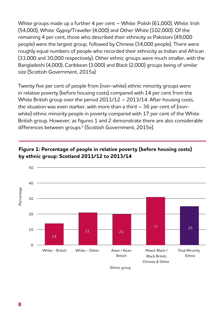White groups made up a further 4 per cent – White: Polish (61,000), White: Irish (54,000), White: Gypsy/Traveller (4,000) and Other White (102,000). Of the remaining 4 per cent, those who described their ethnicity as Pakistani (49,000 people) were the largest group, followed by Chinese (34,000 people). There were roughly equal numbers of people who recorded their ethnicity as Indian and African (33,000 and 30,000 respectively). Other ethnic groups were much smaller, with the Bangladeshi (4,000), Caribbean (3,000) and Black (2,000) groups being of similar size (Scottish Government, 2015a).

Twenty five per cent of people from (non-white) ethnic minority groups were in relative poverty (before housing costs) compared with 14 per cent from the White British group over the period 2011/12 – 2013/14. After housing costs, the situation was even starker, with more than a third – 36 per cent of (nonwhite) ethnic minority people in poverty compared with 17 per cent of the White British group. However, as figures 1 and 2 demonstrate there are also considerable differences between groups.2 (Scottish Government, 2015e).



## **Figure 1: Percentage of people in relative poverty (before housing costs) by ethnic group: Scotland 2011/12 to 2013/14**

Ethnic group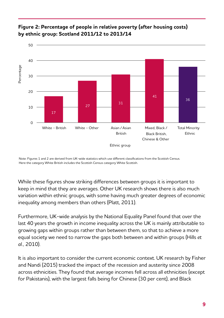

## **Figure 2: Percentage of people in relative poverty (after housing costs) by ethnic group: Scotland 2011/12 to 2013/14**

Note: Figures 1 and 2 are derived from UK-wide statistics which use different classifications from the Scottish Census. Here the category White British includes the Scottish Census category White Scottish.

While these figures show striking differences between groups it is important to keep in mind that they are averages. Other UK research shows there is also much variation within ethnic groups, with some having much greater degrees of economic inequality among members than others (Platt, 2011).

Furthermore, UK-wide analysis by the National Equality Panel found that over the last 40 years the growth in income inequality across the UK is mainly attributable to growing gaps within groups rather than between them, so that to achieve a more equal society we need to narrow the gaps both between and within groups (Hills *et al.,* 2010).

It is also important to consider the current economic context. UK research by Fisher and Nandi (2015) tracked the impact of the recession and austerity since 2008 across ethnicities. They found that average incomes fell across all ethnicities (except for Pakistanis), with the largest falls being for Chinese (30 per cent), and Black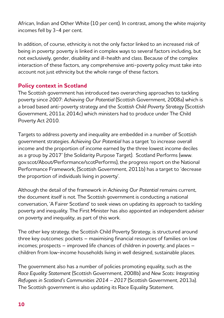African, Indian and Other White (10 per cent). In contrast, among the white majority incomes fell by 3-4 per cent.

In addition, of course, ethnicity is not the only factor linked to an increased risk of being in poverty: poverty is linked in complex ways to several factors including, but not exclusively, gender, disability and ill-health and class. Because of the complex interaction of these factors, any comprehensive anti-poverty policy must take into account not just ethnicity but the whole range of these factors.

# **Policy context in Scotland**

The Scottish government has introduced two overarching approaches to tackling poverty since 2007: *Achieving Our Potential* (Scottish Government, 2008a) which is a broad based anti-poverty strategy and the *Scottish Child Poverty Strategy* (Scottish Government, 2011a; 2014c) which ministers had to produce under The Child Poverty Act 2010.

Targets to address poverty and inequality are embedded in a number of Scottish government strategies. *Achieving Our Potential* has a target 'to increase overall income and the proportion of income earned by the three lowest income deciles as a group by 2017' (the Solidarity Purpose Target). Scotland Performs (www. gov.scot/About/Performance/scotPerforms), the progress report on the National Performance Framework, (Scottish Government, 2011b) has a target to 'decrease the proportion of individuals living in poverty'.

Although the detail of the framework in *Achieving Our Potential* remains current, the document itself is not. The Scottish government is conducting a national conversation, 'A Fairer Scotland' to seek views on updating its approach to tackling poverty and inequality. The First Minister has also appointed an independent adviser on poverty and inequality, as part of this work.

The other key strategy, the Scottish Child Poverty Strategy, is structured around three key outcomes: pockets – maximising financial resources of families on low incomes; prospects – improved life chances of children in poverty; and places – children from low-income households living in well designed, sustainable places.

The government also has a number of policies promoting equality, such as the *Race Equality Statement* (Scottish Government, 2008b) and *New Scots: Integrating Refugees in Scotland's Communities 2014 – 2017* (Scottish Government, 2013a). The Scottish government is also updating its Race Equality Statement.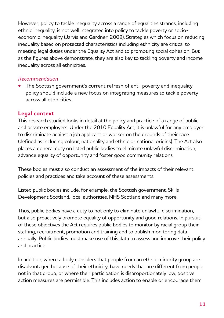However, policy to tackle inequality across a range of equalities strands, including ethnic inequality, is not well integrated into policy to tackle poverty or socioeconomic inequality (Jarvis and Gardner, 2009). Strategies which focus on reducing inequality based on protected characteristics including ethnicity are critical to meeting legal duties under the Equality Act and to promoting social cohesion. But as the figures above demonstrate, they are also key to tackling poverty and income inequality across all ethnicities.

#### *Recommendation*

**•** The Scottish government's current refresh of anti-poverty and inequality policy should include a new focus on integrating measures to tackle poverty across all ethnicities.

# **Legal context**

This research studied looks in detail at the policy and practice of a range of public and private employers. Under the 2010 Equality Act, it is unlawful for any employer to discriminate against a job applicant or worker on the grounds of their race (defined as including colour, nationality and ethnic or national origins). The Act also places a general duty on listed public bodies to eliminate unlawful discrimination, advance equality of opportunity and foster good community relations.

These bodies must also conduct an assessment of the impacts of their relevant policies and practices and take account of these assessments.

Listed public bodies include, for example, the Scottish government, Skills Development Scotland, local authorities, NHS Scotland and many more.

Thus, public bodies have a duty to not only to eliminate unlawful discrimination, but also proactively promote equality of opportunity and good relations. In pursuit of these objectives the Act requires public bodies to monitor by racial group their staffing, recruitment, promotion and training and to publish monitoring data annually. Public bodies must make use of this data to assess and improve their policy and practice.

In addition, where a body considers that people from an ethnic minority group are disadvantaged because of their ethnicity, have needs that are different from people not in that group, or where their participation is disproportionately low, positive action measures are permissible. This includes action to enable or encourage them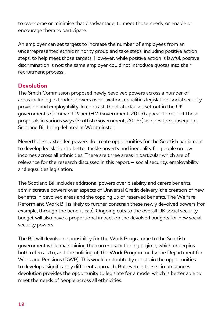to overcome or minimise that disadvantage, to meet those needs, or enable or encourage them to participate.

An employer can set targets to increase the number of employees from an underrepresented ethnic minority group and take steps, including positive action steps, to help meet those targets. However, while positive action is lawful, positive discrimination is not: the same employer could not introduce quotas into their recruitment process .

## **Devolution**

The Smith Commission proposed newly devolved powers across a number of areas including extended powers over taxation, equalities legislation, social security provision and employability. In contrast, the draft clauses set out in the UK government's Command Paper (HM Government, 2015) appear to restrict these proposals in various ways (Scottish Government, 2015c) as does the subsequent Scotland Bill being debated at Westminster.

Nevertheless, extended powers do create opportunities for the Scottish parliament to develop legislation to better tackle poverty and inequality for people on low incomes across all ethnicities. There are three areas in particular which are of relevance for the research discussed in this report – social security, employability and equalities legislation.

The Scotland Bill includes additional powers over disability and carers benefits, administrative powers over aspects of Universal Credit delivery, the creation of new benefits in devolved areas and the topping up of reserved benefits. The Welfare Reform and Work Bill is likely to further constrain these newly devolved powers (for example, through the benefit cap). Ongoing cuts to the overall UK social security budget will also have a proportional impact on the devolved budgets for new social security powers.

The Bill will devolve responsibility for the Work Programme to the Scottish government while maintaining the current sanctioning regime, which underpins both referrals to, and the policing of, the Work Programme by the Department for Work and Pensions (DWP). This would undoubtedly constrain the opportunities to develop a significantly different approach. But even in these circumstances devolution provides the opportunity to legislate for a model which is better able to meet the needs of people across all ethnicities.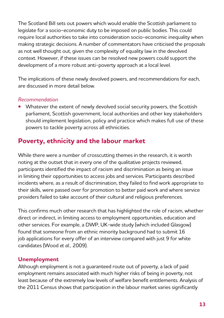The Scotland Bill sets out powers which would enable the Scottish parliament to legislate for a socio-economic duty to be imposed on public bodies. This could require local authorities to take into consideration socio-economic inequality when making strategic decisions. A number of commentators have criticised the proposals as not well thought out, given the complexity of equality law in the devolved context. However, if these issues can be resolved new powers could support the development of a more robust anti-poverty approach at a local level.

The implications of these newly devolved powers, and recommendations for each, are discussed in more detail below.

#### *Recommendation*

**•** Whatever the extent of newly devolved social security powers, the Scottish parliament, Scottish government, local authorities and other key stakeholders should implement legislation, policy and practice which makes full use of these powers to tackle poverty across all ethnicities.

# **Poverty, ethnicity and the labour market**

While there were a number of crosscutting themes in the research, it is worth noting at the outset that in every one of the qualitative projects reviewed, participants identified the impact of racism and discrimination as being an issue in limiting their opportunities to access jobs and services. Participants described incidents where, as a result of discrimination, they failed to find work appropriate to their skills, were passed over for promotion to better paid work and where service providers failed to take account of their cultural and religious preferences.

This confirms much other research that has highlighted the role of racism, whether direct or indirect, in limiting access to employment opportunities, education and other services. For example, a DWP, UK-wide study (which included Glasgow) found that someone from an ethnic minority background had to submit 16 job applications for every offer of an interview compared with just 9 for white candidates (Wood *et al.,* 2009).

## **Unemployment**

Although employment is not a guaranteed route out of poverty, a lack of paid employment remains associated with much higher risks of being in poverty, not least because of the extremely low levels of welfare benefit entitlements. Analysis of the 2011 Census shows that participation in the labour market varies significantly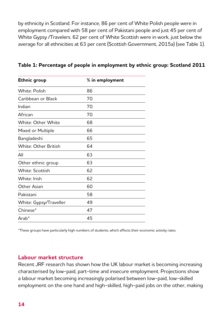by ethnicity in Scotland. For instance, 86 per cent of White Polish people were in employment compared with 58 per cent of Pakistani people and just 45 per cent of White Gypsy /Travelers. 62 per cent of White Scottish were in work, just below the average for all ethnicities at 63 per cent (Scottish Government, 2015a) (see Table 1).

| Ethnic group                | $%$ in employment |
|-----------------------------|-------------------|
| <b>White: Polish</b>        | 86                |
| Caribbean or Black          | 70                |
| Indian                      | 70                |
| African                     | 70                |
| White: Other White          | 68                |
| Mixed or Multiple           | 66                |
| Bangladeshi                 | 65                |
| <b>White: Other British</b> | 64                |
| All                         | 63                |
| Other ethnic group          | 63                |
| White: Scottish             | 62                |
| White: Irish                | 62                |
| Other Asian                 | 60                |
| Pakistani                   | 58                |
| White: Gypsy/Traveller      | 49                |
| Chinese*                    | 47                |
| $Arab^*$                    | 45                |

#### **Table 1: Percentage of people in employment by ethnic group: Scotland 2011**

\*These groups have particularly high numbers of students, which affects their economic activity rates.

#### **Labour market structure**

Recent JRF research has shown how the UK labour market is becoming increasing characterised by low-paid, part-time and insecure employment. Projections show a labour market becoming increasingly polarised between low-paid, low-skilled employment on the one hand and high-skilled, high-paid jobs on the other, making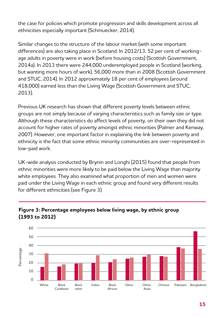the case for policies which promote progression and skills development across all ethnicities especially important (Schmuecker, 2014).

Similar changes to the structure of the labour market (with some important differences) are also taking place in Scotland. In 2012/13, 52 per cent of workingage adults in poverty were in work (before housing costs) (Scottish Government, 2014a). In 2013 there were 244,000 underemployed people in Scotland (working, but wanting more hours of work), 56,000 more than in 2008 (Scottish Government and STUC, 2014). In 2012 approximately 18 per cent of employees (around 418,000) earned less than the Living Wage (Scottish Government and STUC, 2013).

Previous UK research has shown that different poverty levels between ethnic groups are not simply because of varying characteristics such as family size or type. Although these characteristics do affect levels of poverty, on their own they did not account for higher rates of poverty amongst ethnic minorities (Palmer and Kenway, 2007). However, one important factor in explaining the link between poverty and ethnicity is the fact that some ethnic minority communities are over-represented in low-paid work.

UK-wide analysis conducted by Brynin and Longhi (2015) found that people from ethnic minorities were more likely to be paid below the Living Wage than majority white employees. They also examined what proportion of men and women were paid under the Living Wage in each ethnic group and found very different results for different ethnicities (see Figure 3).



## **Figure 3: Percentage employees below living wage, by ethnic group (1993 to 2012)**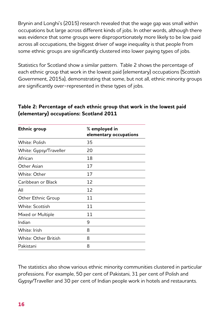Brynin and Longhi's (2015) research revealed that the wage gap was small within occupations but large across different kinds of jobs. In other words, although there was evidence that some groups were disproportionately more likely to be low paid across all occupations, the biggest driver of wage inequality is that people from some ethnic groups are significantly clustered into lower paying types of jobs.

Statistics for Scotland show a similar pattern. Table 2 shows the percentage of each ethnic group that work in the lowest paid (elementary) occupations (Scottish Government, 2015a), demonstrating that some, but not all, ethnic minority groups are significantly over-represented in these types of jobs.

| Ethnic group                | $%$ employed in<br>elementary occupations |
|-----------------------------|-------------------------------------------|
| White: Polish               | 35                                        |
| White: Gypsy/Traveller      | 20                                        |
| African                     | 18                                        |
| Other Asian                 | 17                                        |
| White: Other                | 17                                        |
| Caribbean or Black          | 12                                        |
| All                         | 12                                        |
| Other Ethnic Group          | 11                                        |
| White: Scottish             | 11                                        |
| Mixed or Multiple           | 11                                        |
| Indian                      | 9                                         |
| White: Irish                | 8                                         |
| <b>White: Other British</b> | 8                                         |
| Pakistani                   | 8                                         |

## **Table 2: Percentage of each ethnic group that work in the lowest paid (elementary) occupations: Scotland 2011**

The statistics also show various ethnic minority communities clustered in particular professions. For example, 50 per cent of Pakistani, 31 per cent of Polish and Gypsy/Traveller and 30 per cent of Indian people work in hotels and restaurants.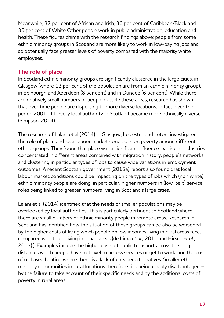Meanwhile, 37 per cent of African and Irish, 36 per cent of Caribbean/Black and 35 per cent of White Other people work in public administration, education and health. These figures chime with the research findings above: people from some ethnic minority groups in Scotland are more likely to work in low-paying jobs and so potentially face greater levels of poverty compared with the majority white employees.

## **The role of place**

In Scotland ethnic minority groups are significantly clustered in the large cities, in Glasgow (where 12 per cent of the population are from an ethnic minority group), in Edinburgh and Aberdeen (8 per cent) and in Dundee (6 per cent). While there are relatively small numbers of people outside these areas, research has shown that over time people are dispersing to more diverse locations. In fact, over the period 2001–11 every local authority in Scotland became more ethnically diverse (Simpson, 2014).

The research of Lalani et al (2014) in Glasgow, Leicester and Luton, investigated the role of place and local labour market conditions on poverty among different ethnic groups. They found that place was a significant influence: particular industries concentrated in different areas combined with migration history, people's networks and clustering in particular types of jobs to cause wide variations in employment outcomes. A recent Scottish government (2015a) report also found that local labour market conditions could be impacting on the types of jobs which (non white) ethnic minority people are doing: in particular, higher numbers in (low-paid) service roles being linked to greater numbers living in Scotland's large cities.

Lalani et al (2014) identified that the needs of smaller populations may be overlooked by local authorities. This is particularly pertinent to Scotland where there are small numbers of ethnic minority people in remote areas. Research in Scotland has identified how the situation of these groups can be also be worsened by the higher costs of living which people on low incomes living in rural areas face, compared with those living in urban areas (de Lima *et al.,* 2011 and Hirsch *et al.,* 2013).). Examples include the higher costs of public transport across the long distances which people have to travel to access services or get to work, and the cost of oil based heating where there is a lack of cheaper alternatives. Smaller ethnic minority communities in rural locations therefore risk being doubly disadvantaged – by the failure to take account of their specific needs and by the additional costs of poverty in rural areas.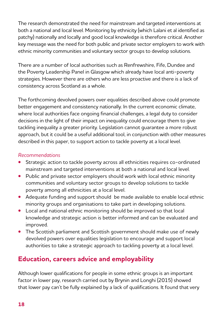The research demonstrated the need for mainstream and targeted interventions at both a national and local level. Monitoring by ethnicity (which Lalani et al identified as patchy) nationally and locally and good local knowledge is therefore critical. Another key message was the need for both public and private sector employers to work with ethnic minority communities and voluntary sector groups to develop solutions.

There are a number of local authorities such as Renfrewshire, Fife, Dundee and the Poverty Leadership Panel in Glasgow which already have local anti-poverty strategies. However there are others who are less proactive and there is a lack of consistency across Scotland as a whole.

The forthcoming devolved powers over equalities described above could promote better engagement and consistency nationally. In the current economic climate, where local authorities face ongoing financial challenges, a legal duty to consider decisions in the light of their impact on inequality could encourage them to give tackling inequality a greater priority. Legislation cannot guarantee a more robust approach, but it could be a useful additional tool, in conjunction with other measures described in this paper, to support action to tackle poverty at a local level.

#### *Recommendations*

- **•** Strategic action to tackle poverty across all ethnicities requires co-ordinated mainstream and targeted interventions at both a national and local level.
- **•** Public and private sector employers should work with local ethnic minority communities and voluntary sector groups to develop solutions to tackle poverty among all ethnicities at a local level.
- **•** Adequate funding and support should be made available to enable local ethnic minority groups and organisations to take part in developing solutions.
- **•** Local and national ethnic monitoring should be improved so that local knowledge and strategic action is better informed and can be evaluated and improved.
- **•** The Scottish parliament and Scottish government should make use of newly devolved powers over equalities legislation to encourage and support local authorities to take a strategic approach to tackling poverty at a local level.

# **Education, careers advice and employability**

Although lower qualifications for people in some ethnic groups is an important factor in lower pay, research carried out by Brynin and Longhi (2015) showed that lower pay can't be fully explained by a lack of qualifications. It found that very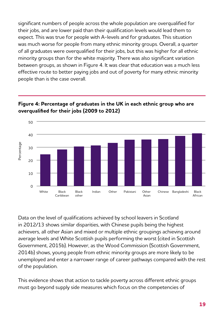significant numbers of people across the whole population are overqualified for 30 their jobs, and are lower paid than their qualification levels would lead them to 20 expect. This was true for people with A-levels and for graduates. This situation 10 was much worse for people from many ethnic minority groups. Overall, a quarter of all graduates were overqualified for their jobs, but this was higher for all ethnic 0 minority groups than for the white majority. There was also significant variation between groups, as shown in Figure 4. It was clear that education was a much less effective route to better paying jobs and out of poverty for many ethnic minority people than is the case overall. si<br>th

## **Figure 4: Percentage of graduates in the UK in each ethnic group who are overqualified for their jobs (2009 to 2012)**



Data on the level of qualifications achieved by school leavers in Scotland in 2012/13 shows similar disparities, with Chinese pupils being the highest achievers, all other Asian and mixed or multiple ethnic groupings achieving around average levels and White Scottish pupils performing the worst (cited in Scottish Government, 2015b). However, as the Wood Commission (Scottish Government, 2014b) shows, young people from ethnic minority groups are more likely to be unemployed and enter a narrower range of career pathways compared with the rest of the population.

This evidence shows that action to tackle poverty across different ethnic groups must go beyond supply side measures which focus on the competencies of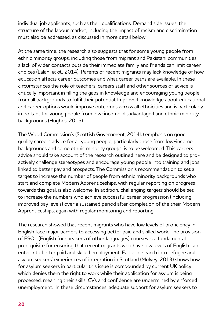individual job applicants, such as their qualifications. Demand side issues, the structure of the labour market, including the impact of racism and discrimination must also be addressed, as discussed in more detail below.

At the same time, the research also suggests that for some young people from ethnic minority groups, including those from migrant and Pakistani communities, a lack of wider contacts outside their immediate family and friends can limit career choices (Lalani *et al.,* 2014). Parents of recent migrants may lack knowledge of how education affects career outcomes and what career paths are available. In these circumstances the role of teachers, careers staff and other sources of advice is critically important in filling the gaps in knowledge and encouraging young people from all backgrounds to fulfil their potential. Improved knowledge about educational and career options would improve outcomes across all ethnicities and is particularly important for young people from low-income, disadvantaged and ethnic minority backgrounds (Hughes, 2015).

The Wood Commission's (Scottish Government, 2014b) emphasis on good quality careers advice for all young people, particularly those from low-income backgrounds and some ethnic minority groups, is to be welcomed. This careers advice should take account of the research outlined here and be designed to proactively challenge stereotypes and encourage young people into training and jobs linked to better pay and prospects. The Commission's recommendation to set a target to increase the number of people from ethnic minority backgrounds who start and complete Modern Apprenticeships, with regular reporting on progress towards this goal, is also welcome. In addition, challenging targets should be set to increase the numbers who achieve successful career progression (including improved pay levels) over a sustained period after completion of the their Modern Apprenticeships, again with regular monitoring and reporting.

The research showed that recent migrants who have low levels of proficiency in English face major barriers to accessing better paid and skilled work. The provision of ESOL (English for speakers of other languages) courses is a fundamental prerequisite for ensuring that recent migrants who have low levels of English can enter into better paid and skilled employment. Earlier research into refugee and asylum seekers' experiences of integration in Scotland (Mulvey, 2013) shows how for asylum seekers in particular this issue is compounded by current UK policy which denies them the right to work while their application for asylum is being processed, meaning their skills, CVs and confidence are undermined by enforced unemployment. In these circumstances, adequate support for asylum seekers to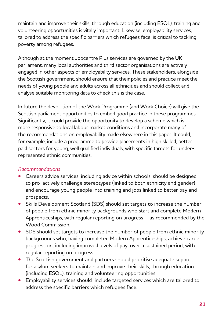maintain and improve their skills, through education (including ESOL), training and volunteering opportunities is vitally important. Likewise, employability services, tailored to address the specific barriers which refugees face, is critical to tackling poverty among refugees.

Although at the moment Jobcentre Plus services are governed by the UK parliament, many local authorities and third sector organisations are actively engaged in other aspects of employability services. These stakeholders, alongside the Scottish government, should ensure that their policies and practice meet the needs of young people and adults across all ethnicities and should collect and analyse suitable monitoring data to check this is the case.

In future the devolution of the Work Programme (and Work Choice) will give the Scottish parliament opportunities to embed good practice in these programmes. Significantly, it could provide the opportunity to develop a scheme which is more responsive to local labour market conditions and incorporate many of the recommendations on employability made elsewhere in this paper. It could, for example, include a programme to provide placements in high skilled, better paid sectors for young, well qualified individuals, with specific targets for underrepresented ethnic communities.

#### *Recommendations*

- **•** Careers advice services, including advice within schools, should be designed to pro-actively challenge stereotypes (linked to both ethnicity and gender) and encourage young people into training and jobs linked to better pay and prospects.
- **•** Skills Development Scotland (SDS) should set targets to increase the number of people from ethnic minority backgrounds who start and complete Modern Apprenticeships, with regular reporting on progress – as recommended by the Wood Commission.
- **•** SDS should set targets to increase the number of people from ethnic minority backgrounds who, having completed Modern Apprenticeships, achieve career progression, including improved levels of pay, over a sustained period, with regular reporting on progress.
- **•** The Scottish government and partners should prioritise adequate support for asylum seekers to maintain and improve their skills, through education (including ESOL), training and volunteering opportunities.
- **•** Employability services should include targeted services which are tailored to address the specific barriers which refugees face.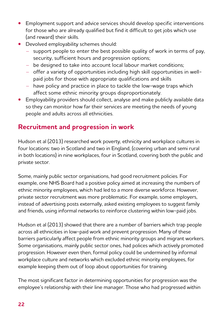- **•** Employment support and advice services should develop specific interventions for those who are already qualified but find it difficult to get jobs which use (and reward) their skills.
- **•** Devolved employability schemes should:
	- support people to enter the best possible quality of work in terms of pay, security, sufficient hours and progression options;
	- be designed to take into account local labour market conditions;
	- offer a variety of opportunities including high skill opportunities in wellpaid jobs for those with appropriate qualifications and skills
	- have policy and practice in place to tackle the low-wage traps which affect some ethnic minority groups disproportionately.
- **•** Employability providers should collect, analyse and make publicly available data so they can monitor how far their services are meeting the needs of young people and adults across all ethnicities.

# **Recruitment and progression in work**

Hudson et al (2013) researched work poverty, ethnicity and workplace cultures in four locations: two in Scotland and two in England, (covering urban and semi rural in both locations) in nine workplaces, four in Scotland, covering both the public and private sector.

Some, mainly public sector organisations, had good recruitment policies. For example, one NHS Board had a positive policy aimed at increasing the numbers of ethnic minority employees, which had led to a more diverse workforce. However, private sector recruitment was more problematic. For example, some employers, instead of advertising posts externally, asked existing employees to suggest family and friends, using informal networks to reinforce clustering within low-paid jobs.

Hudson et al (2013) showed that there are a number of barriers which trap people across all ethnicities in low-paid work and prevent progression. Many of these barriers particularly affect people from ethnic minority groups and migrant workers. Some organisations, mainly public sector ones, had polices which actively promoted progression. However even then, formal policy could be undermined by informal workplace culture and networks which excluded ethnic minority employees, for example keeping them out of loop about opportunities for training.

The most significant factor in determining opportunities for progression was the employee's relationship with their line manager. Those who had progressed within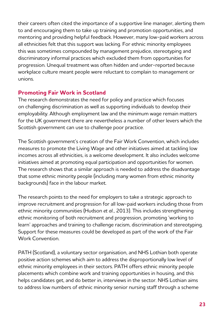their careers often cited the importance of a supportive line manager, alerting them to and encouraging them to take up training and promotion opportunities, and mentoring and providing helpful feedback. However, many low-paid workers across all ethnicities felt that this support was lacking. For ethnic minority employees this was sometimes compounded by management prejudice, stereotyping and discriminatory informal practices which excluded them from opportunities for progression. Unequal treatment was often hidden and under-reported because workplace culture meant people were reluctant to complain to management or unions.

# **Promoting Fair Work in Scotland**

The research demonstrates the need for policy and practice which focuses on challenging discrimination as well as supporting individuals to develop their employability. Although employment law and the minimum wage remain matters for the UK government there are nevertheless a number of other levers which the Scottish government can use to challenge poor practice.

The Scottish government's creation of the Fair Work Convention, which includes measures to promote the Living Wage and other initiatives aimed at tackling low incomes across all ethnicities, is a welcome development. It also includes welcome initiatives aimed at promoting equal participation and opportunities for women. The research shows that a similar approach is needed to address the disadvantage that some ethnic minority people (including many women from ethnic minority backgrounds) face in the labour market.

The research points to the need for employers to take a strategic approach to improve recruitment and progression for all low-paid workers including those from ethnic minority communities (Hudson *et al.,* 2013). This includes strengthening ethnic monitoring of both recruitment and progression, promoting 'working to learn' approaches and training to challenge racism, discrimination and stereotyping. Support for these measures could be developed as part of the work of the Fair Work Convention.

PATH (Scotland), a voluntary sector organisation, and NHS Lothian both operate positive action schemes which aim to address the disproportionally low level of ethnic minority employees in their sectors. PATH offers ethnic minority people placements which combine work and training opportunities in housing, and this helps candidates get, and do better in, interviews in the sector. NHS Lothian aims to address low numbers of ethnic minority senior nursing staff through a scheme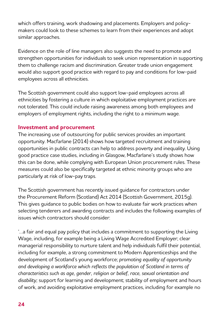which offers training, work shadowing and placements. Employers and policymakers could look to these schemes to learn from their experiences and adopt similar approaches.

Evidence on the role of line managers also suggests the need to promote and strengthen opportunities for individuals to seek union representation in supporting them to challenge racism and discrimination. Greater trade union engagement would also support good practice with regard to pay and conditions for low-paid employees across all ethnicities.

The Scottish government could also support low-paid employees across all ethnicities by fostering a culture in which exploitative employment practices are not tolerated. This could include raising awareness among both employees and employers of employment rights, including the right to a minimum wage.

## **Investment and procurement**

The increasing use of outsourcing for public services provides an important opportunity. Macfarlane (2014) shows how targeted recruitment and training opportunities in public contracts can help to address poverty and inequality. Using good practice case studies, including in Glasgow, Macfarlane's study shows how this can be done, while complying with European Union procurement rules. These measures could also be specifically targeted at ethnic minority groups who are particularly at risk of low-pay traps.

The Scottish government has recently issued guidance for contractors under the Procurement Reform (Scotland) Act 2014 (Scottish Government, 2015g). This gives guidance to public bodies on how to evaluate fair work practices when selecting tenderers and awarding contracts and includes the following examples of issues which contractors should consider:

'…a fair and equal pay policy that includes a commitment to supporting the Living Wage, including, for example being a Living Wage Accredited Employer; clear managerial responsibility to nurture talent and help individuals fulfil their potential, including for example, a strong commitment to Modern Apprenticeships and the development of Scotland's young workforce; *promoting equality of opportunity and developing a workforce which reflects the population of Scotland in terms of characteristics such as age, gender, religion or belief, race, sexual orientation and disability;* support for learning and development; stability of employment and hours of work, and avoiding exploitative employment practices, including for example no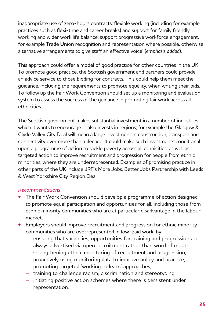inappropriate use of zero-hours contracts; flexible working (including for example practices such as flexi-time and career breaks) and support for family friendly working and wider work life balance; support progressive workforce engagement, for example Trade Union recognition and representation where possible, otherwise alternative arrangements to give staff an effective voice' (*emphasis added*).3

This approach could offer a model of good practice for other countries in the UK. To promote good practice, the Scottish government and partners could provide an advice service to those bidding for contracts. This could help them meet the guidance, including the requirements to promote equality, when writing their bids. To follow up the Fair Work Convention should set up a monitoring and evaluation system to assess the success of the guidance in promoting fair work across all ethnicities.

The Scottish government makes substantial investment in a number of industries which it wants to encourage. It also invests in regions; for example the Glasgow & Clyde Valley City Deal will mean a large investment in construction, transport and connectivity over more than a decade. It could make such investments conditional upon a programme of action to tackle poverty across all ethnicities, as well as targeted action to improve recruitment and progression for people from ethnic minorities, where they are underrepresented. Examples of promising practice in other parts of the UK include JRF's More Jobs, Better Jobs Partnership with Leeds & West Yorkshire City Region Deal.

#### *Recommendations*

- **•** The Fair Work Convention should develop a programme of action designed to promote equal participation and opportunities for all, including those from ethnic minority communities who are at particular disadvantage in the labour market.
- **•** Employers should improve recruitment and progression for ethnic minority communities who are overrepresented in low-paid work, by:
	- ensuring that vacancies, opportunities for training and progression are always advertised via open recruitment rather than word of mouth;
	- strengthening ethnic monitoring of recruitment and progression;
	- proactively using monitoring data to improve policy and practice;
	- promoting targeted 'working to learn' approaches;
	- training to challenge racism, discrimination and stereotyping;
	- initiating positive action schemes where there is persistent under representation.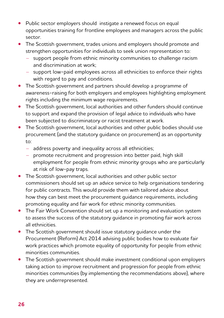- **•** Public sector employers should instigate a renewed focus on equal opportunities training for frontline employees and managers across the public sector.
- **•** The Scottish government, trades unions and employers should promote and strengthen opportunities for individuals to seek union representation to:
	- support people from ethnic minority communities to challenge racism and discrimination at work;
	- support low-paid employees across all ethnicities to enforce their rights with regard to pay and conditions.
- **•** The Scottish government and partners should develop a programme of awareness-raising for both employers and employees highlighting employment rights including the minimum wage requirements.
- **•** The Scottish government, local authorities and other funders should continue to support and expand the provision of legal advice to individuals who have been subjected to discriminatory or racist treatment at work.
- **•** The Scottish government, local authorities and other public bodies should use procurement (and the statutory guidance on procurement) as an opportunity  $t^{\circ}$ 
	- address poverty and inequality across all ethnicities;
	- promote recruitment and progression into better paid, high skill employment for people from ethnic minority groups who are particularly at risk of low-pay traps.
- **•** The Scottish government, local authorities and other public sector commissioners should set up an advice service to help organisations tendering for public contracts. This would provide them with tailored advice about how they can best meet the procurement guidance requirements, including promoting equality and fair work for ethnic minority communities.
- **•** The Fair Work Convention should set up a monitoring and evaluation system to assess the success of the statutory guidance in promoting fair work across all ethnicities.
- **•** The Scottish government should issue statutory guidance under the Procurement (Reform) Act 2014 advising public bodies how to evaluate fair work practices which promote equality of opportunity for people from ethnic minorities communities.
- **•** The Scottish government should make investment conditional upon employers taking action to improve recruitment and progression for people from ethnic minorities communities (by implementing the recommendations above), where they are underrepresented.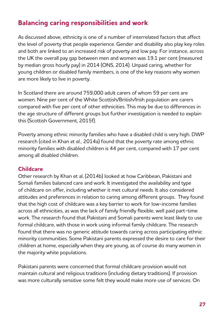# **Balancing caring responsibilities and work**

As discussed above, ethnicity is one of a number of interrelated factors that affect the level of poverty that people experience. Gender and disability also play key roles and both are linked to an increased risk of poverty and low pay. For instance, across the UK the overall pay gap between men and women was 19.1 per cent (measured by median gross hourly pay) in 2014 (ONS, 2014). Unpaid caring, whether for young children or disabled family members, is one of the key reasons why women are more likely to live in poverty.

In Scotland there are around 759,000 adult carers of whom 59 per cent are women. Nine per cent of the White Scottish/British/Irish population are carers compared with five per cent of other ethnicities. This may be due to differences in the age structure of different groups but further investigation is needed to explain this (Scottish Government, 2015f).

Poverty among ethnic minority families who have a disabled child is very high. DWP research (cited in Khan *et al.,* 2014a) found that the poverty rate among ethnic minority families with disabled children is 44 per cent, compared with 17 per cent among all disabled children.

#### **Childcare**

Other research by Khan et al, (2014b) looked at how Caribbean, Pakistani and Somali families balanced care and work. It investigated the availability and type of childcare on offer, including whether it met cultural needs. It also considered attitudes and preferences in relation to caring among different groups. They found that the high cost of childcare was a key barrier to work for low-income families across all ethnicities, as was the lack of family friendly flexible, well paid part-time work. The research found that Pakistani and Somali parents were least likely to use formal childcare, with those in work using informal family childcare. The research found that there was no generic attitude towards caring across participating ethnic minority communities. Some Pakistani parents expressed the desire to care for their children at home, especially when they are young, as of course do many women in the majority white populations.

Pakistani parents were concerned that formal childcare provision would not maintain cultural and religious traditions (including dietary traditions). If provision was more culturally sensitive some felt they would make more use of services. On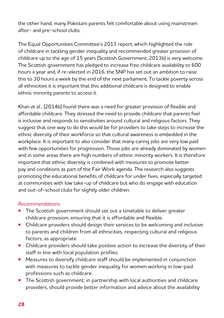the other hand, many Pakistani parents felt comfortable about using mainstream after- and pre-school clubs.

The Equal Opportunities Committee's 2013 report, which highlighted the role of childcare in tackling gender inequality and recommended greater provision of childcare up to the age of 15 years (Scottish Government, 2013b) is very welcome. The Scottish government has pledged to increase free childcare availability to 600 hours a year and, if re-elected in 2016, the SNP has set out an ambition to raise this to 30 hours a week by the end of the next parliament. To tackle poverty across all ethnicities it is important that this additional childcare is designed to enable ethnic minority parents to access it.

Khan *et al.,* (2014b) found there was a need for greater provision of flexible and affordable childcare. They stressed the need to provide childcare that parents feel is inclusive and responds to sensitivities around cultural and religious factors. They suggest that one way to do this would be for providers to take steps to increase the ethnic diversity of their workforce so that cultural awareness is embedded in the workplace. It is important to also consider that many caring jobs are very low paid with few opportunities for progression. Those jobs are already dominated by women and in some areas there are high numbers of ethnic minority workers. It is therefore important that ethnic diversity is combined with measures to promote better pay and conditions as part of the Fair Work agenda. The research also suggests promoting the educational benefits of childcare for under fives, especially targeted at communities with low take-up of childcare but who do engage with education and out-of-school clubs for slightly older children.

#### *Recommendations*

- **•** The Scottish government should set out a timetable to deliver greater childcare provision, ensuring that it is affordable and flexible.
- **•** Childcare providers should design their services to be welcoming and inclusive to parents and children from all ethnicities, respecting cultural and religious factors, as appropriate.
- **•** Childcare providers should take positive action to increase the diversity of their staff in line with local population profiles.
- **•** Measures to diversify childcare staff should be implemented in conjunction with measures to tackle gender inequality for women working in low-paid professions such as childcare.
- **•** The Scottish government, in partnership with local authorities and childcare providers, should provide better information and advice about the availability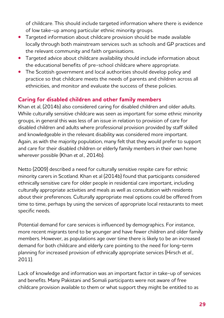of childcare. This should include targeted information where there is evidence of low take-up among particular ethnic minority groups.

- **•** Targeted information about childcare provision should be made available locally through both mainstream services such as schools and GP practices and the relevant community and faith organisations.
- **•** Targeted advice about childcare availability should include information about the educational benefits of pre-school childcare where appropriate.
- **•** The Scottish government and local authorities should develop policy and practice so that childcare meets the needs of parents and children across all ethnicities, and monitor and evaluate the success of these policies.

# **Caring for disabled children and other family members**

Khan et al, (2014b) also considered caring for disabled children and older adults. While culturally sensitive childcare was seen as important for some ethnic minority groups, in general this was less of an issue in relation to provision of care for disabled children and adults where professional provision provided by staff skilled and knowledgeable in the relevant disability was considered more important. Again, as with the majority population, many felt that they would prefer to support and care for their disabled children or elderly family members in their own home wherever possible (Khan *et al.,* 2014b).

Netto (2009) described a need for culturally sensitive respite care for ethnic minority carers in Scotland. Khan et al (2014b) found that participants considered ethnically sensitive care for older people in residential care important, including culturally appropriate activities and meals as well as consultation with residents about their preferences. Culturally appropriate meal options could be offered from time to time, perhaps by using the services of appropriate local restaurants to meet specific needs.

Potential demand for care services is influenced by demographics. For instance, more recent migrants tend to be younger and have fewer children and older family members. However, as populations age over time there is likely to be an increased demand for both childcare and elderly care pointing to the need for long-term planning for increased provision of ethnically appropriate services (Hirsch *et al.,* 2011).

Lack of knowledge and information was an important factor in take-up of services and benefits. Many Pakistani and Somali participants were not aware of free childcare provision available to them or what support they might be entitled to as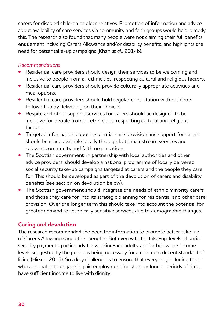carers for disabled children or older relatives. Promotion of information and advice about availability of care services via community and faith groups would help remedy this. The research also found that many people were not claiming their full benefits entitlement including Carers Allowance and/or disability benefits, and highlights the need for better take-up campaigns (Khan *et al.,* 2014b).

#### *Recommendations*

- **•** Residential care providers should design their services to be welcoming and inclusive to people from all ethnicities, respecting cultural and religious factors.
- **•** Residential care providers should provide culturally appropriate activities and meal options.
- **•** Residential care providers should hold regular consultation with residents followed up by delivering on their choices.
- **•** Respite and other support services for carers should be designed to be inclusive for people from all ethnicities, respecting cultural and religious factors.
- **•** Targeted information about residential care provision and support for carers should be made available locally through both mainstream services and relevant community and faith organisations.
- **•** The Scottish government, in partnership with local authorities and other advice providers, should develop a national programme of locally delivered social security take-up campaigns targeted at carers and the people they care for. This should be developed as part of the devolution of carers and disability benefits (see section on devolution below).
- **•** The Scottish government should integrate the needs of ethnic minority carers and those they care for into its strategic planning for residential and other care provision. Over the longer term this should take into account the potential for greater demand for ethnically sensitive services due to demographic changes.

# **Caring and devolution**

The research recommended the need for information to promote better take-up of Carer's Allowance and other benefits. But even with full take-up, levels of social security payments, particularly for working-age adults, are far below the income levels suggested by the public as being necessary for a minimum decent standard of living (Hirsch, 2015). So a key challenge is to ensure that everyone, including those who are unable to engage in paid employment for short or longer periods of time, have sufficient income to live with dignity.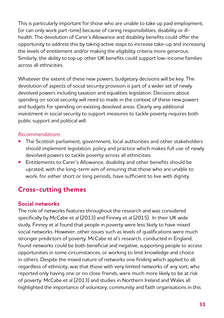This is particularly important for those who are unable to take up paid employment, (or can only work part-time) because of caring responsibilities, disability or illhealth. The devolution of Carer's Allowance and disability benefits could offer the opportunity to address this by taking active steps to increase take-up and increasing the levels of entitlement and/or making the eligibility criteria more generous. Similarly, the ability to top up other UK benefits could support low-income families across all ethnicities.

Whatever the extent of these new powers, budgetary decisions will be key. The devolution of aspects of social security provision is part of a wider set of newly devolved powers including taxation and equalities legislation. Decisions about spending on social security will need to made in the context of these new powers and budgets for spending on existing devolved areas. Clearly any additional investment in social security to support measures to tackle poverty requires both public support and political will.

#### *Recommendations*

- **•** The Scottish parliament, government, local authorities and other stakeholders should implement legislation, policy and practice which makes full use of newly devolved powers to tackle poverty across all ethnicities.
- **•** Entitlements to Carer's Allowance, disability and other benefits should be uprated, with the long-term aim of ensuring that those who are unable to work, for either short or long periods, have sufficient to live with dignity.

# **Cross-cutting themes**

## **Social networks**

The role of networks features throughout the research and was considered specifically by McCabe et al (2013) and Finney et al (2015). In their UK wide study, Finney et al found that people in poverty were less likely to have mixed social networks. However, other issues such as levels of qualifications were much stronger predictors of poverty. McCabe et al's research, conducted in England, found networks could be both beneficial and negative, supporting people to access opportunities in some circumstances, or working to limit knowledge and choice in others. Despite the mixed nature of networks one finding which applied to all, regardless of ethnicity, was that those with very limited networks of any sort, who reported only having one or no close friends, were much more likely to be at risk of poverty. McCabe et al (2013) and studies in Northern Ireland and Wales all highlighted the importance of voluntary, community and faith organisations in this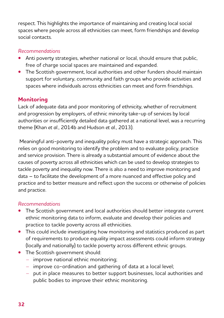respect. This highlights the importance of maintaining and creating local social spaces where people across all ethnicities can meet, form friendships and develop social contacts.

## *Recommendations*

- **•** Anti poverty strategies, whether national or local, should ensure that public, free of charge social spaces are maintained and expanded.
- **•** The Scottish government, local authorities and other funders should maintain support for voluntary, community and faith groups who provide activities and spaces where individuals across ethnicities can meet and form friendships.

# **Monitoring**

Lack of adequate data and poor monitoring of ethnicity, whether of recruitment and progression by employers, of ethnic minority take-up of services by local authorities or insufficiently detailed data gathered at a national level, was a recurring theme (Khan *et al.,* 2014b and Hudson *et al.,* 2013).

 Meaningful anti-poverty and inequality policy must have a strategic approach. This relies on good monitoring to identify the problem and to evaluate policy, practice and service provision. There is already a substantial amount of evidence about the causes of poverty across all ethnicities which can be used to develop strategies to tackle poverty and inequality now. There is also a need to improve monitoring and data – to facilitate the development of a more nuanced and effective policy and practice and to better measure and reflect upon the success or otherwise of policies and practice.

## *Recommendations*

- **•** The Scottish government and local authorities should better integrate current ethnic monitoring data to inform, evaluate and develop their policies and practice to tackle poverty across all ethnicities.
- **•** This could include investigating how monitoring and statistics produced as part of requirements to produce equality impact assessments could inform strategy (locally and nationally) to tackle poverty across different ethnic groups.
- **•** The Scottish government should:
	- improve national ethnic monitoring;
	- improve co-ordination and gathering of data at a local level;
	- put in place measures to better support businesses, local authorities and public bodies to improve their ethnic monitoring.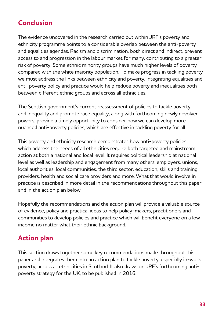# **Conclusion**

The evidence uncovered in the research carried out within JRF's poverty and ethnicity programme points to a considerable overlap between the anti-poverty and equalities agendas. Racism and discrimination, both direct and indirect, prevent access to and progression in the labour market for many, contributing to a greater risk of poverty. Some ethnic minority groups have much higher levels of poverty compared with the white majority population. To make progress in tackling poverty we must address the links between ethnicity and poverty. Integrating equalities and anti-poverty policy and practice would help reduce poverty and inequalities both between different ethnic groups and across all ethnicities.

The Scottish government's current reassessment of policies to tackle poverty and inequality and promote race equality, along with forthcoming newly devolved powers, provide a timely opportunity to consider how we can develop more nuanced anti-poverty policies, which are effective in tackling poverty for all.

This poverty and ethnicity research demonstrates how anti-poverty policies which address the needs of all ethnicities require both targeted and mainstream action at both a national and local level. It requires political leadership at national level as well as leadership and engagement from many others: employers, unions, local authorities, local communities, the third sector, education, skills and training providers, health and social care providers and more. What that would involve in practice is described in more detail in the recommendations throughout this paper and in the action plan below.

Hopefully the recommendations and the action plan will provide a valuable source of evidence, policy and practical ideas to help policy-makers, practitioners and communities to develop policies and practice which will benefit everyone on a low income no matter what their ethnic background.

# **Action plan**

This section draws together some key recommendations made throughout this paper and integrates them into an action plan to tackle poverty, especially in-work poverty, across all ethnicities in Scotland. It also draws on JRF's forthcoming antipoverty strategy for the UK, to be published in 2016.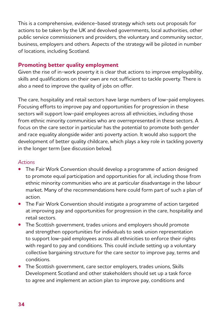This is a comprehensive, evidence-based strategy which sets out proposals for actions to be taken by the UK and devolved governments, local authorities, other public service commissioners and providers, the voluntary and community sector, business, employers and others. Aspects of the strategy will be piloted in number of locations, including Scotland.

## **Promoting better quality employment**

Given the rise of in-work poverty it is clear that actions to improve employability, skills and qualifications on their own are not sufficient to tackle poverty. There is also a need to improve the quality of jobs on offer.

The care, hospitality and retail sectors have large numbers of low-paid employees. Focusing efforts to improve pay and opportunities for progression in these sectors will support low-paid employees across all ethnicities, including those from ethnic minority communities who are overrepresented in these sectors. A focus on the care sector in particular has the potential to promote both gender and race equality alongside wider anti poverty action. It would also support the development of better quality childcare, which plays a key role in tackling poverty in the longer term (see discussion below).

#### *Actions*

- **•** The Fair Work Convention should develop a programme of action designed to promote equal participation and opportunities for all, including those from ethnic minority communities who are at particular disadvantage in the labour market. Many of the recommendations here could form part of such a plan of action.
- **•** The Fair Work Convention should instigate a programme of action targeted at improving pay and opportunities for progression in the care, hospitality and retail sectors.
- **•** The Scottish government, trades unions and employers should promote and strengthen opportunities for individuals to seek union representation to support low-paid employees across all ethnicities to enforce their rights with regard to pay and conditions. This could include setting up a voluntary collective bargaining structure for the care sector to improve pay, terms and conditions.
- **•** The Scottish government, care sector employers, trades unions, Skills Development Scotland and other stakeholders should set up a task force to agree and implement an action plan to improve pay, conditions and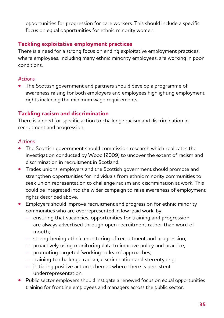opportunities for progression for care workers. This should include a specific focus on equal opportunities for ethnic minority women.

# **Tackling exploitative employment practices**

There is a need for a strong focus on ending exploitative employment practices, where employees, including many ethnic minority employees, are working in poor conditions.

#### *Actions*

**•** The Scottish government and partners should develop a programme of awareness raising for both employers and employees highlighting employment rights including the minimum wage requirements.

# **Tackling racism and discrimination**

There is a need for specific action to challenge racism and discrimination in recruitment and progression.

#### *Actions*

- **•** The Scottish government should commission research which replicates the investigation conducted by Wood (2009) to uncover the extent of racism and discrimination in recruitment in Scotland.
- **•** Trades unions, employers and the Scottish government should promote and strengthen opportunities for individuals from ethnic minority communities to seek union representation to challenge racism and discrimination at work. This could be integrated into the wider campaign to raise awareness of employment rights described above.
- **•** Employers should improve recruitment and progression for ethnic minority communities who are overrepresented in low-paid work, by:
	- ensuring that vacancies, opportunities for training and progression are always advertised through open recruitment rather than word of mouth;
	- strengthening ethnic monitoring of recruitment and progression;
	- proactively using monitoring data to improve policy and practice;
	- promoting targeted 'working to learn' approaches;
	- training to challenge racism, discrimination and stereotyping;
	- initiating positive action schemes where there is persistent underrepresentation.
- Public sector employers should instigate a renewed focus on equal opportunities training for frontline employees and managers across the public sector.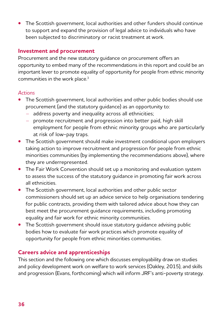**•** The Scottish government, local authorities and other funders should continue to support and expand the provision of legal advice to individuals who have been subjected to discriminatory or racist treatment at work.

## **Investment and procurement**

Procurement and the new statutory guidance on procurement offers an opportunity to embed many of the recommendations in this report and could be an important lever to promote equality of opportunity for people from ethnic minority communities in the work place.<sup>3</sup>

#### *Actions*

- **•** The Scottish government, local authorities and other public bodies should use procurement (and the statutory guidance) as an opportunity to:
	- address poverty and inequality across all ethnicities;
	- promote recruitment and progression into better paid, high skill employment for people from ethnic minority groups who are particularly at risk of low-pay traps.
- **•** The Scottish government should make investment conditional upon employers taking action to improve recruitment and progression for people from ethnic minorities communities (by implementing the recommendations above), where they are underrepresented.
- **•** The Fair Work Convention should set up a monitoring and evaluation system to assess the success of the statutory guidance in promoting fair work across all ethnicities.
- **•** The Scottish government, local authorities and other public sector commissioners should set up an advice service to help organisations tendering for public contracts, providing them with tailored advice about how they can best meet the procurement guidance requirements, including promoting equality and fair work for ethnic minority communities.
- **•** The Scottish government should issue statutory guidance advising public bodies how to evaluate fair work practices which promote equality of opportunity for people from ethnic minorities communities.

# **Careers advice and apprenticeships**

This section and the following one which discusses employability draw on studies and policy development work on welfare to work services (Oakley, 2015), and skills and progression (Evans, forthcoming) which will inform JRF's anti-poverty strategy.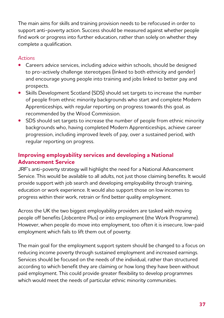The main aims for skills and training provision needs to be refocused in order to support anti-poverty action. Success should be measured against whether people find work or progress into further education, rather than solely on whether they complete a qualification.

#### *Actions*

- **•** Careers advice services, including advice within schools, should be designed to pro-actively challenge stereotypes (linked to both ethnicity and gender) and encourage young people into training and jobs linked to better pay and prospects.
- **•** Skills Development Scotland (SDS) should set targets to increase the number of people from ethnic minority backgrounds who start and complete Modern Apprenticeships, with regular reporting on progress towards this goal, as recommended by the Wood Commission.
- **•** SDS should set targets to increase the number of people from ethnic minority backgrounds who, having completed Modern Apprenticeships, achieve career progression, including improved levels of pay, over a sustained period, with regular reporting on progress.

# **Improving employability services and developing a National Advancement Service**

JRF's anti-poverty strategy will highlight the need for a National Advancement Service. This would be available to all adults, not just those claiming benefits. It would provide support with job search and developing employability through training, education or work experience. It would also support those on low incomes to progress within their work, retrain or find better quality employment.

Across the UK the two biggest employability providers are tasked with moving people off benefits (Jobcentre Plus) or into employment (the Work Programme). However, when people do move into employment, too often it is insecure, low-paid employment which fails to lift them out of poverty.

The main goal for the employment support system should be changed to a focus on reducing income poverty through sustained employment and increased earnings. Services should be focused on the needs of the individual, rather than structured according to which benefit they are claiming or how long they have been without paid employment. This could provide greater flexibility to develop programmes which would meet the needs of particular ethnic minority communities.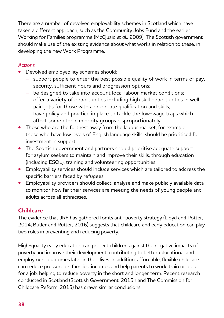There are a number of devolved employability schemes in Scotland which have taken a different approach, such as the Community Jobs Fund and the earlier Working for Families programme (McQuaid *et al.,* 2009). The Scottish government should make use of the existing evidence about what works in relation to these, in developing the new Work Programme.

## *Actions*

- **•** Devolved employability schemes should:
	- support people to enter the best possible quality of work in terms of pay, security, sufficient hours and progression options;
	- be designed to take into account local labour market conditions;
	- offer a variety of opportunities including high skill opportunities in well paid jobs for those with appropriate qualification and skills;
	- have policy and practice in place to tackle the low-wage traps which affect some ethnic minority groups disproportionately.
- **•** Those who are the furthest away from the labour market, for example those who have low levels of English language skills, should be prioritised for investment in support.
- **•** The Scottish government and partners should prioritise adequate support for asylum seekers to maintain and improve their skills, through education (including ESOL), training and volunteering opportunities.
- **•** Employability services should include services which are tailored to address the specific barriers faced by refugees.
- **•** Employability providers should collect, analyse and make publicly available data to monitor how far their services are meeting the needs of young people and adults across all ethnicities.

# **Childcare**

The evidence that JRF has gathered for its anti-poverty strategy (Lloyd and Potter, 2014; Butler and Rutter, 2016) suggests that childcare and early education can play two roles in preventing and reducing poverty.

High-quality early education can protect children against the negative impacts of poverty and improve their development, contributing to better educational and employment outcomes later in their lives. In addition, affordable, flexible childcare can reduce pressure on families' incomes and help parents to work, train or look for a job, helping to reduce poverty in the short and longer term. Recent research conducted in Scotland (Scottish Government, 2015h and The Commission for Childcare Reform, 2015) has drawn similar conclusions.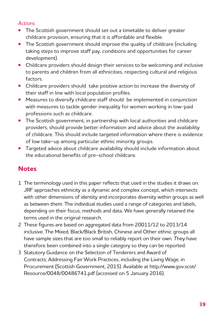## *Actions*

- **•** The Scottish government should set out a timetable to deliver greater childcare provision, ensuring that it is affordable and flexible.
- **•** The Scottish government should improve the quality of childcare (including taking steps to improve staff pay, conditions and opportunities for career development).
- **•** Childcare providers should design their services to be welcoming and inclusive to parents and children from all ethnicities, respecting cultural and religious factors.
- **•** Childcare providers should take positive action to increase the diversity of their staff in line with local population profiles.
- **•** Measures to diversify childcare staff should be implemented in conjunction with measures to tackle gender inequality for women working in low-paid professions such as childcare.
- **•** The Scottish government, in partnership with local authorities and childcare providers, should provide better information and advice about the availability of childcare. This should include targeted information where there is evidence of low take-up among particular ethnic minority groups.
- **•** Targeted advice about childcare availability should include information about the educational benefits of pre-school childcare.

# **Notes**

- 1 The terminology used in this paper reflects that used in the studies it draws on. JRF approaches ethnicity as a dynamic and complex concept, which intersects with other dimensions of identity and incorporates diversity within groups as well as between them. The individual studies used a range of categories and labels, depending on their focus, methods and data. We have generally retained the terms used in the original research.
- 2 These figures are based on aggregated data from 20011/12 to 2013/14 inclusive. The Mixed, Black/Black British, Chinese and Other ethnic groups all have sample sizes that are too small to reliably report on their own. They have therefore been combined into a single category so they can be reported.
- 3 Statutory Guidance on the Selection of Tenderers and Award of Contracts; Addressing Fair Work Practices, including the Living Wage, in Procurement (Scottish Government, 2015). Available at http://www.gov.scot/ Resource/0048/00486741.pdf (accessed on 5 January 2016).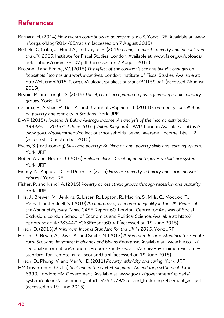# **References**

- Barnard, H. (2014) *How racism contributes to poverty in the UK*. York: JRF. Available at: www. jrf.org.uk/blog/2014/05/racism (accessed on 7 August 2015)
- Belfield, C, Cribb, J., Hood A., and Joyce, R. (2015) *Living standards, poverty and inequality in the UK: 2015*. Institute for Fiscal Studies: London. Available at: www.ifs.org.uk/uploads/ publications/comms/R107.pdf (accessed on 7 August 2015)
- Browne, J and Elming, W. (2015) *The effect of the coalition's tax and benefit changes on household incomes and work incentives.* London: Institute of Fiscal Studies. Available at: http://election2015.ifs.org.uk/uploads/publications/bns/BN159.pdf (accessed 7August 2015(
- Brynin, M. and Longhi, S. (2015) *The effect of occupation on poverty among ethnic minority groups.* York: JRF
- de Lima, P., Arshad, R., Bell, A., and Braunholtz-Speight, T. (2011) *Community consultation on poverty and ethnicity in Scotland.* York: JRF
- DWP (2015) *Households Below Average Income. An analysis of the income distribution 1994/95 – 2013/14 June 2015 (United Kingdom).* DWP: London Available at https:// www.gov.uk/government/collections/households-below-average- income-hbai--2 (accessed 10 September 2015)
- Evans, S. (forthcoming) *Skills and poverty: Building an anti-poverty skills and learning system.*  York: JRF
- Butler, A. and Rutter, J. (2016) *Building blocks: Creating an anti-poverty childcare system.*  York: JRF
- Finney, N., Kapadia, D. and Peters, S. (2015) *How are poverty, ethnicity and social networks related?* York: JRF
- Fisher, P. and Nandi, A. (2015) *Poverty across ethnic groups through recession and austerity.* York: JRF
- Hills, J., Brewer, M., Jenkins, S., Lister, R., Lupton, R., Machin, S., Mills, C., Modood, T., Rees, T. and Riddell, S. (2010) *An anatomy of economic inequality in the UK: Report of the National Equality Panel.* CASE Report 60. London: Centre for Analysis of Social Exclusion, London School of Economics and Political Science. Available at: http:// eprints.lse.ac.uk/28344/1/CASEreport60.pdf (accessed on 19 June 2015)
- Hirsch, D. (2015) *A Minimum Income Standard for the UK in 2015.* York: JRF
- Hirsch, D., Bryan, A., Davis, A., and Smith, N. (2013) *A Minimum Income Standard for remote rural Scotland. Inverness: Highlands and Islands Enterprise.* Available at: www.hie.co.uk/ regional-information/economic-reports-and-research/archive/a-minimum-incomestandard-for-remote-rural-scotland.html (accessed on 19 June 2015)
- Hirsch, D., Phung, V. and Manful, E. (2011) *Poverty, ethnicity and caring.* York: JRF
- HM Government (2015) Scotland in the United Kingdom: An enduring settlement. Cmd 8990. London: HM Government. Available at: www.gov.uk/government/uploads/ system/uploads/attachment\_data/file/397079/Scotland\_EnduringSettlement\_acc.pdf (accessed on 19 June 2015)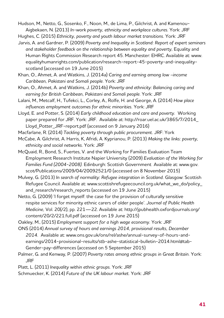Hudson, M., Netto, G., Sosenko, F., Noon, M., de Lima, P., Gilchrist, A. and Kamenou-Aigbekaen, N. (2013) *In-work poverty, ethnicity and workplace cultures.* York: JRF

Hughes, C. (2015) *Ethnicity, poverty and youth labour market transitions.* York: JRF

- Jarvis, A. and Gardner, P. (2009) *Poverty and Inequality in Scotland: Report of expert seminars*  and stakeholder feedback on the relationship between equality and poverty, Equality and Human Rights Commission Research report 45. Manchester: EHRC. Available at: www. equalityhumanrights.com/publication/research-report-45-poverty-and-inequalityscotland (accessed on 19 June 2015)
- Khan, O., Ahmet, A. and Watkins, J. (2014a) *Caring and earning among low –income Caribbean, Pakistani and Somali people.* York: JRF
- Khan, O., Ahmet, A. and Watkins, J. (2014b) *Poverty and ethnicity: Balancing caring and earning for British Caribbean, Pakistani and Somali people.* York: JRF
- Lalani, M., Metcalf, H., Tufekci, L., Corley, A., Rolfe, H. and George, A. (2014) *How place influences employment outcomes for ethnic minorities.* York: JRF
- Lloyd, E. and Potter, S. (2014) *Early childhood education and care and poverty.* Working paper prepared for JRF. York: JRF. Available at: http://roar.uel.ac.uk/3865/7/2014\_ Lloyd\_Potter\_JRF-report.pdf (accessed on 9 January 2016)
- Macfarlane, R. (2014) *Tackling poverty through public procurement.* JRF: York
- McCabe, A. Gilchrist, A. Harris, K, Afridi, A. Kyprianou, P. (2013) *Making the links: poverty, ethnicity and social networks.* York: JRF
- McQuaid, R., Bond, S., Fuertes, V. and the Working for Families Evaluation Team Employment Research Institute Napier University (2009) *Evaluation of the Working for Families Fund (2004-2008).* Edinburgh: Scottish Government Available at: www.gov. scot/Publications/2009/04/20092521/0 (accessed on 8 November 2015)
- Mulvey, G. (2013) *In search of normality: Refugee integration in Scotland.* Glasgow: Scottish Refugee Council. Available at: www.scottishrefugeecouncil.org.uk/what\_we\_do/policy\_ and research/research reports (accessed on 19 June 2015)
- Netto, G. (2009) 'I forget myself: the case for the provision of culturally sensitive respite services for minority ethnic carers of older people'. *Journal of Public Health Medicine,* Vol. 20(/2), pp. 221—22. Available at: http://jpubhealth.oxfordjournals.org/ content/20/2/221.full.pdf (accessed on 19 June 2015)
- Oakley, M., (2015) *Employment support for a high wage economy.* York: JRF
- ONS (2014) *Annual survey of hours and earnings 2014, provisional results, December 2014.* Available at: www.ons.gov.uk/ons/rel/ashe/annual-survey-of-hours-andearnings/2014-provisional-results/stb-ashe-statistical-bulletin-2014.html#tab-Gender-pay-differences (accessed on 5 September 2015)
- Palmer, G. and Kenway, P. (2007) *Poverty rates among ethnic groups in Great Britain.* York: JRF
- Platt, L. (2011) *Inequality within ethnic groups.* York: JRF

Schmuecker, K. (2014) *Future of the UK labour market.* York: JRF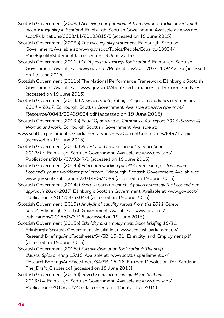- Scottish Government (2008a) *Achieving our potential: A framework to tackle poverty and income inequality in Scotland.* Edinburgh: Scottish Government. Available at: www.gov. scot/Publications/2008/11/20103815/0 (accessed on 19 June 2015)
- Scottish Government (2008b) *The race equality statement.* Edinburgh: Scottish Government. Available at: www.gov.scot/Topics/People/Equality/18934/ RaceEqualityStatement (accessed on 19 June 2015)
- Scottish Government (2011a) *Child poverty strategy for Scotland.* Edinburgh: Scottish Government. Available at: www.gov.scot/Publications/2011/03/14094421/6 (accessed on 19 June 2015)
- Scottish Government (2011b) The National Performance Framework. Edinburgh: Scottish Government. Available at: www.gov.scot/About/Performance/scotPerforms/pdfNPF (accessed on 19 June 2015)
- Scottish Government (2013a) *New Scots: Integrating refugees in Scotland's communities 2014 – 2017.* Edinburgh: Scottish Government. Available at: www.gov.scot/ Resource/0043/00439604.pdf (accessed on 19 June 2015)
- Scottish Government (2013b) *Equal Opportunities Committee 4th report 2013 (Session 4) Women and work.* Edinburgh: Scottish Government. Available at:
- www.scottish.parliament.uk/parliamentarybusiness/CurrentCommittees/64971.aspx (accessed on 19 June 2015)
- Scottish Government (2014a) *Poverty and income inequality in Scotland: 2012/13.* Edinburgh: Scottish Government. Available at: www.gov.scot/ Publications/2014/07/9247/0 (accessed on 19 June 2015)
- Scottish Government (2014b) *Education working for all! Commission for developing Scotland's young workforce final report.* Edinburgh: Scottish Government. Available at: www.gov.scot/Publications/2014/06/4089 (accessed on 19 June 2015)
- Scottish Government (2014c) *Scottish government child poverty strategy for Scotland our approach 2014-2017.* Edinburgh: Scottish Government. Available at: www.gov.scot/ Publications/2014/03/5304/4 (accessed on 19 June 2015)
- Scottish Government (2015a) *Analysis of equality results from the 2011 Census*  part 2. Edinburgh: Scottish Government. Available at: www.gov.scot/ publications/2015/03/8716 (accessed on 19 June 2015)

Scottish Government (2015b) *Ethnicity and employment, Spice briefing 15/31.*  Edinburgh: Scottish Government. Available at: www.scottish.parliament.uk/ ResearchBriefingsAndFactsheets/S4/SB\_15-31\_Ethnicity\_and\_Employment.pdf (accessed on 19 June 2015)

- Scottish Government (2015c) *Further devolution for Scotland: The draft clauses, Spice briefing 15/16*. Available at: www.scottish.parliament.uk/ ResearchBriefingsAndFactsheets/S4/SB\_15-16\_Further\_Devolution\_for\_Scotland-\_ The Draft Clauses.pdf (accessed on 19 June 2015)
- Scottish Government (2015d) *Poverty and income inequality in Scotland: 2013/14.* Edinburgh: Scottish Government. Available at: www.gov.scot/ Publications/2015/06/7453 (accessed on 14 September 2015)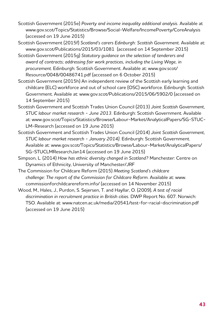- Scottish Government (2015e) *Poverty and income inequality additional analysis.* Available at www.gov.scot/Topics/Statistics/Browse/Social-Welfare/IncomePoverty/CoreAnalysis (accessed on 19 June 2015)
- Scottish Government (2015f) *Scotland's carers Edinburgh: Scottish Government.* Available at: www.gov.scot/Publications/2015/03/1081 (accessed on 14 September 2015)
- Scottish Government (2015g) *Statutory guidance on the selection of tenderers and award of contracts; addressing fair work practices, including the Living Wage, in procurement*. Edinburgh: Scottish Government. Available at: www.gov.scot/ Resource/0048/00486741.pdf (accessed on 6 October 2015)
- Scottish Government (2015h) An independent review of the Scottish early learning and childcare (ELC) workforce and out of school care (OSC) workforce. Edinburgh: Scottish Government. Available at: www.gov.scot/Publications/2015/06/5902/0 (accessed on 14 September 2015)
- Scottish Government and Scottish Trades Union Council (2013) *Joint Scottish Government, STUC labour market research - June 2013.* Edinburgh: Scottish Government. Available at: www.gov.scot/Topics/Statistics/Browse/Labour-Market/AnalyticalPapers/SG-STUC-LM-Research (accessed on 19 June 2015)
- Scottish Government and Scottish Trades Union Council (2014) *Joint Scottish Government, STUC labour market research - January 2014).* Edinburgh: Scottish Government. Available at: www.gov.scot/Topics/Statistics/Browse/Labour-Market/AnalyticalPapers/ SG-STUCLMResearchJan14 (accessed on 19 June 2015)
- Simpson, L. (2014) *How has ethnic diversity changed in Scotland?* Manchester: Centre on Dynamics of Ethnicity, University of Manchester/JRF
- The Commission for Childcare Reform (2015) *Meeting Scotland's childcare challenge: The report of the Commission for Childcare Reform.* Available at: www. commissionforchildcarereform.info/ (accessed on 14 November 2015)
- Wood, M., Hales, J., Purdon, S. Sejersen, T. and Hayllar, O. (2009), *A test of racial discrimination in recruitment practice in British cities.* DWP Report No. 607. Norwich: TSO. Available at: www.natcen.ac.uk/media/20541/test-for-racial-discrimination.pdf (accessed on 19 June 2015)